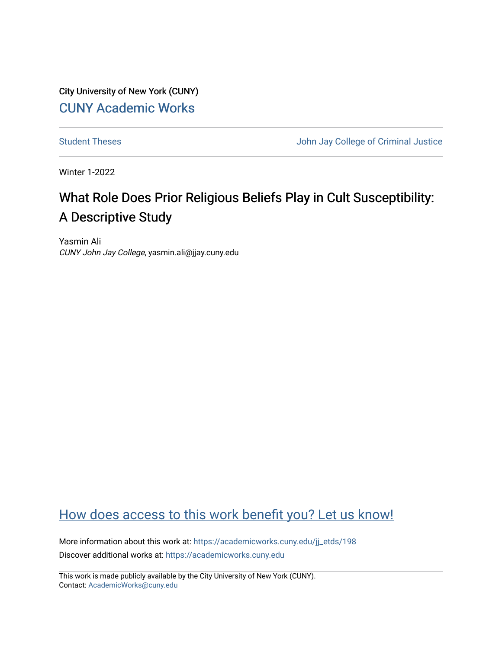City University of New York (CUNY) [CUNY Academic Works](https://academicworks.cuny.edu/) 

[Student Theses](https://academicworks.cuny.edu/jj_etds) **Student Theses** John Jay College of Criminal Justice

Winter 1-2022

# What Role Does Prior Religious Beliefs Play in Cult Susceptibility: A Descriptive Study

Yasmin Ali CUNY John Jay College, yasmin.ali@jjay.cuny.edu

# [How does access to this work benefit you? Let us know!](http://ols.cuny.edu/academicworks/?ref=https://academicworks.cuny.edu/jj_etds/198)

More information about this work at: [https://academicworks.cuny.edu/jj\\_etds/198](https://academicworks.cuny.edu/jj_etds/198)  Discover additional works at: [https://academicworks.cuny.edu](https://academicworks.cuny.edu/?)

This work is made publicly available by the City University of New York (CUNY). Contact: [AcademicWorks@cuny.edu](mailto:AcademicWorks@cuny.edu)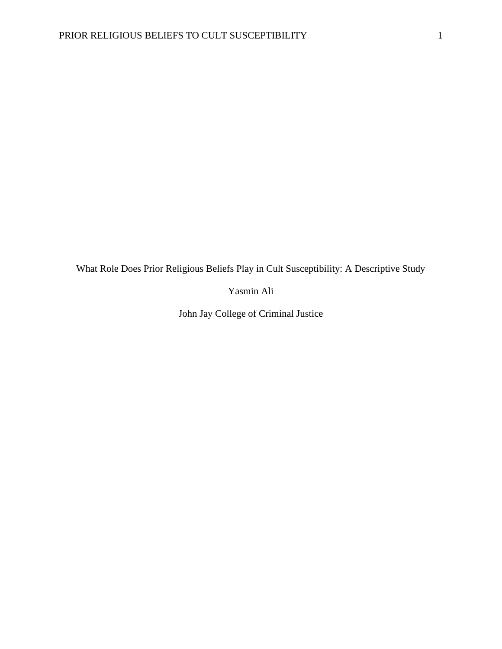What Role Does Prior Religious Beliefs Play in Cult Susceptibility: A Descriptive Study

Yasmin Ali

John Jay College of Criminal Justice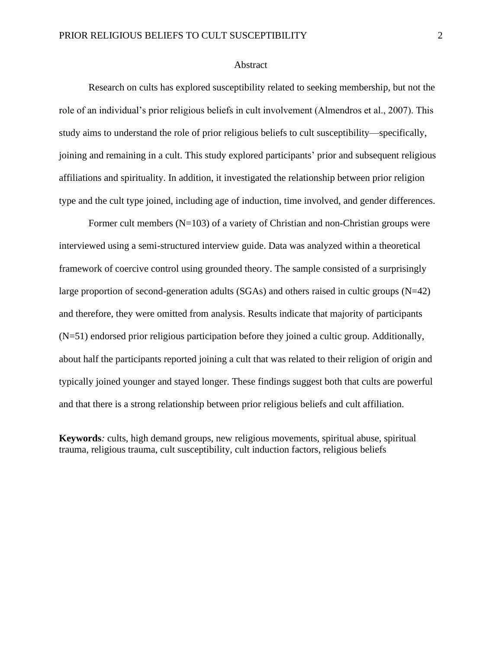# Abstract

Research on cults has explored susceptibility related to seeking membership, but not the role of an individual's prior religious beliefs in cult involvement (Almendros et al., 2007). This study aims to understand the role of prior religious beliefs to cult susceptibility—specifically, joining and remaining in a cult. This study explored participants' prior and subsequent religious affiliations and spirituality. In addition, it investigated the relationship between prior religion type and the cult type joined, including age of induction, time involved, and gender differences.

Former cult members  $(N=103)$  of a variety of Christian and non-Christian groups were interviewed using a semi-structured interview guide. Data was analyzed within a theoretical framework of coercive control using grounded theory. The sample consisted of a surprisingly large proportion of second-generation adults (SGAs) and others raised in cultic groups  $(N=42)$ and therefore, they were omitted from analysis. Results indicate that majority of participants (N=51) endorsed prior religious participation before they joined a cultic group. Additionally, about half the participants reported joining a cult that was related to their religion of origin and typically joined younger and stayed longer. These findings suggest both that cults are powerful and that there is a strong relationship between prior religious beliefs and cult affiliation.

**Keywords***:* cults, high demand groups, new religious movements, spiritual abuse, spiritual trauma, religious trauma, cult susceptibility, cult induction factors, religious beliefs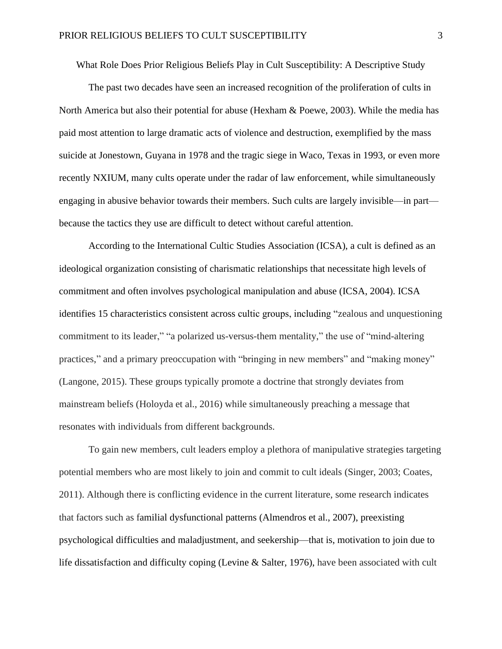What Role Does Prior Religious Beliefs Play in Cult Susceptibility: A Descriptive Study

The past two decades have seen an increased recognition of the proliferation of cults in North America but also their potential for abuse (Hexham & Poewe, 2003). While the media has paid most attention to large dramatic acts of violence and destruction, exemplified by the mass suicide at Jonestown, Guyana in 1978 and the tragic siege in Waco, Texas in 1993, or even more recently NXIUM, many cults operate under the radar of law enforcement, while simultaneously engaging in abusive behavior towards their members. Such cults are largely invisible—in part because the tactics they use are difficult to detect without careful attention.

According to the International Cultic Studies Association (ICSA), a cult is defined as an ideological organization consisting of charismatic relationships that necessitate high levels of commitment and often involves psychological manipulation and abuse (ICSA, 2004). ICSA identifies 15 characteristics consistent across cultic groups, including "zealous and unquestioning commitment to its leader," "a polarized us-versus-them mentality," the use of "mind-altering practices," and a primary preoccupation with "bringing in new members" and "making money" (Langone, 2015). These groups typically promote a doctrine that strongly deviates from mainstream beliefs (Holoyda et al., 2016) while simultaneously preaching a message that resonates with individuals from different backgrounds.

To gain new members, cult leaders employ a plethora of manipulative strategies targeting potential members who are most likely to join and commit to cult ideals (Singer, 2003; Coates, 2011). Although there is conflicting evidence in the current literature, some research indicates that factors such as familial dysfunctional patterns (Almendros et al., 2007), preexisting psychological difficulties and maladjustment, and seekership—that is, motivation to join due to life dissatisfaction and difficulty coping (Levine & Salter, 1976), have been associated with cult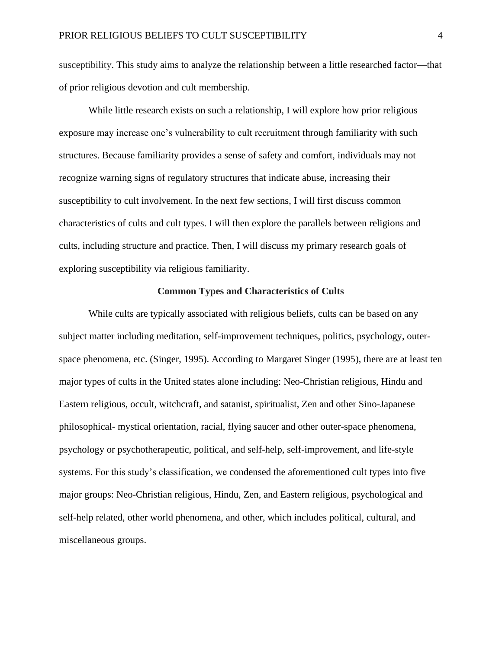susceptibility. This study aims to analyze the relationship between a little researched factor—that of prior religious devotion and cult membership.

While little research exists on such a relationship, I will explore how prior religious exposure may increase one's vulnerability to cult recruitment through familiarity with such structures. Because familiarity provides a sense of safety and comfort, individuals may not recognize warning signs of regulatory structures that indicate abuse, increasing their susceptibility to cult involvement. In the next few sections, I will first discuss common characteristics of cults and cult types. I will then explore the parallels between religions and cults, including structure and practice. Then, I will discuss my primary research goals of exploring susceptibility via religious familiarity.

# **Common Types and Characteristics of Cults**

While cults are typically associated with religious beliefs, cults can be based on any subject matter including meditation, self-improvement techniques, politics, psychology, outerspace phenomena, etc. (Singer, 1995). According to Margaret Singer (1995), there are at least ten major types of cults in the United states alone including: Neo-Christian religious, Hindu and Eastern religious, occult, witchcraft, and satanist, spiritualist, Zen and other Sino-Japanese philosophical- mystical orientation, racial, flying saucer and other outer-space phenomena, psychology or psychotherapeutic, political, and self-help, self-improvement, and life-style systems. For this study's classification, we condensed the aforementioned cult types into five major groups: Neo-Christian religious, Hindu, Zen, and Eastern religious, psychological and self-help related, other world phenomena, and other, which includes political, cultural, and miscellaneous groups.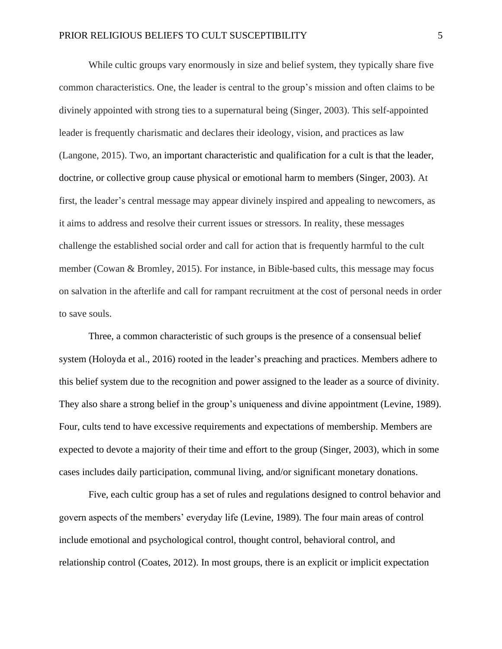While cultic groups vary enormously in size and belief system, they typically share five common characteristics. One, the leader is central to the group's mission and often claims to be divinely appointed with strong ties to a supernatural being (Singer, 2003). This self-appointed leader is frequently charismatic and declares their ideology, vision, and practices as law (Langone, 2015). Two, an important characteristic and qualification for a cult is that the leader, doctrine, or collective group cause physical or emotional harm to members (Singer, 2003). At first, the leader's central message may appear divinely inspired and appealing to newcomers, as it aims to address and resolve their current issues or stressors. In reality, these messages challenge the established social order and call for action that is frequently harmful to the cult member (Cowan & Bromley, 2015). For instance, in Bible-based cults, this message may focus on salvation in the afterlife and call for rampant recruitment at the cost of personal needs in order to save souls.

Three, a common characteristic of such groups is the presence of a consensual belief system (Holoyda et al., 2016) rooted in the leader's preaching and practices. Members adhere to this belief system due to the recognition and power assigned to the leader as a source of divinity. They also share a strong belief in the group's uniqueness and divine appointment (Levine, 1989). Four, cults tend to have excessive requirements and expectations of membership. Members are expected to devote a majority of their time and effort to the group (Singer, 2003), which in some cases includes daily participation, communal living, and/or significant monetary donations.

Five, each cultic group has a set of rules and regulations designed to control behavior and govern aspects of the members' everyday life (Levine, 1989). The four main areas of control include emotional and psychological control, thought control, behavioral control, and relationship control (Coates, 2012). In most groups, there is an explicit or implicit expectation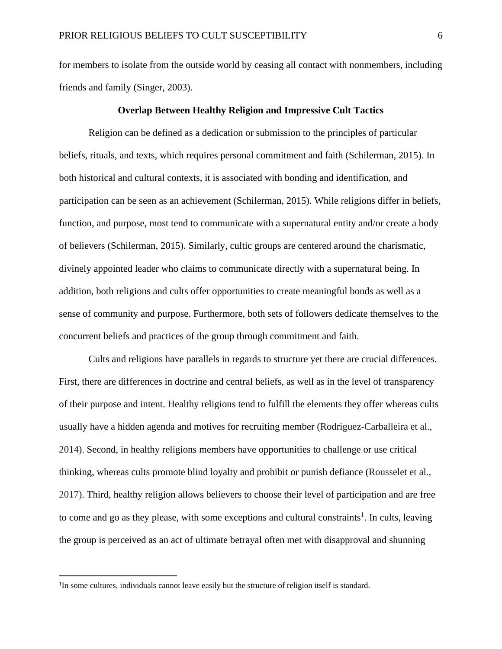for members to isolate from the outside world by ceasing all contact with nonmembers, including friends and family (Singer, 2003).

#### **Overlap Between Healthy Religion and Impressive Cult Tactics**

Religion can be defined as a dedication or submission to the principles of particular beliefs, rituals, and texts, which requires personal commitment and faith (Schilerman, 2015). In both historical and cultural contexts, it is associated with bonding and identification, and participation can be seen as an achievement (Schilerman, 2015). While religions differ in beliefs, function, and purpose, most tend to communicate with a supernatural entity and/or create a body of believers (Schilerman, 2015). Similarly, cultic groups are centered around the charismatic, divinely appointed leader who claims to communicate directly with a supernatural being. In addition, both religions and cults offer opportunities to create meaningful bonds as well as a sense of community and purpose. Furthermore, both sets of followers dedicate themselves to the concurrent beliefs and practices of the group through commitment and faith.

Cults and religions have parallels in regards to structure yet there are crucial differences. First, there are differences in doctrine and central beliefs, as well as in the level of transparency of their purpose and intent. Healthy religions tend to fulfill the elements they offer whereas cults usually have a hidden agenda and motives for recruiting member (Rodriguez-Carballeira et al., 2014). Second, in healthy religions members have opportunities to challenge or use critical thinking, whereas cults promote blind loyalty and prohibit or punish defiance (Rousselet et al., 2017). Third, healthy religion allows believers to choose their level of participation and are free to come and go as they please, with some exceptions and cultural constraints<sup>1</sup>. In cults, leaving the group is perceived as an act of ultimate betrayal often met with disapproval and shunning

<sup>&</sup>lt;sup>1</sup>In some cultures, individuals cannot leave easily but the structure of religion itself is standard.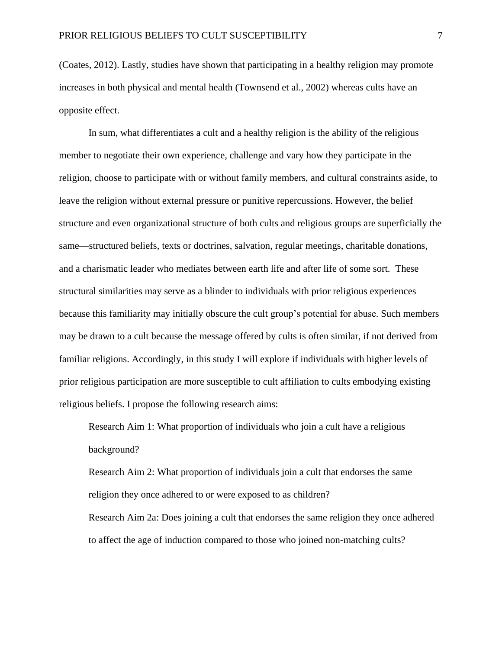(Coates, 2012). Lastly, studies have shown that participating in a healthy religion may promote increases in both physical and mental health (Townsend et al., 2002) whereas cults have an opposite effect.

In sum, what differentiates a cult and a healthy religion is the ability of the religious member to negotiate their own experience, challenge and vary how they participate in the religion, choose to participate with or without family members, and cultural constraints aside, to leave the religion without external pressure or punitive repercussions. However, the belief structure and even organizational structure of both cults and religious groups are superficially the same—structured beliefs, texts or doctrines, salvation, regular meetings, charitable donations, and a charismatic leader who mediates between earth life and after life of some sort. These structural similarities may serve as a blinder to individuals with prior religious experiences because this familiarity may initially obscure the cult group's potential for abuse. Such members may be drawn to a cult because the message offered by cults is often similar, if not derived from familiar religions. Accordingly, in this study I will explore if individuals with higher levels of prior religious participation are more susceptible to cult affiliation to cults embodying existing religious beliefs. I propose the following research aims:

Research Aim 1: What proportion of individuals who join a cult have a religious background?

Research Aim 2: What proportion of individuals join a cult that endorses the same religion they once adhered to or were exposed to as children? Research Aim 2a: Does joining a cult that endorses the same religion they once adhered to affect the age of induction compared to those who joined non-matching cults?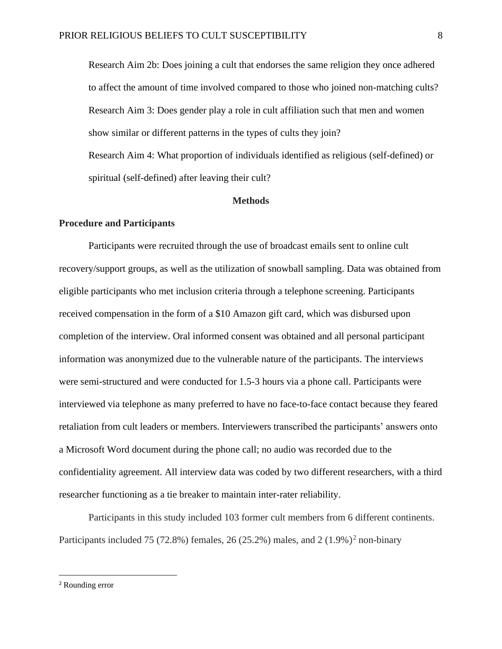Research Aim 2b: Does joining a cult that endorses the same religion they once adhered to affect the amount of time involved compared to those who joined non-matching cults? Research Aim 3: Does gender play a role in cult affiliation such that men and women show similar or different patterns in the types of cults they join? Research Aim 4: What proportion of individuals identified as religious (self-defined) or spiritual (self-defined) after leaving their cult?

#### **Methods**

#### **Procedure and Participants**

Participants were recruited through the use of broadcast emails sent to online cult recovery/support groups, as well as the utilization of snowball sampling. Data was obtained from eligible participants who met inclusion criteria through a telephone screening. Participants received compensation in the form of a \$10 Amazon gift card, which was disbursed upon completion of the interview. Oral informed consent was obtained and all personal participant information was anonymized due to the vulnerable nature of the participants. The interviews were semi-structured and were conducted for 1.5-3 hours via a phone call. Participants were interviewed via telephone as many preferred to have no face-to-face contact because they feared retaliation from cult leaders or members. Interviewers transcribed the participants' answers onto a Microsoft Word document during the phone call; no audio was recorded due to the confidentiality agreement. All interview data was coded by two different researchers, with a third researcher functioning as a tie breaker to maintain inter-rater reliability.

Participants in this study included 103 former cult members from 6 different continents. Participants included 75 (72.8%) females, 26 (25.2%) males, and 2 (1.9%)<sup>2</sup> non-binary

<sup>2</sup> Rounding error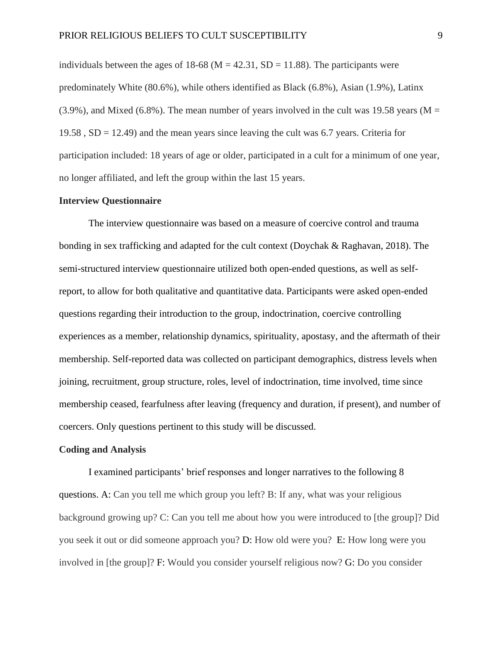individuals between the ages of 18-68 ( $M = 42.31$ , SD = 11.88). The participants were predominately White (80.6%), while others identified as Black (6.8%), Asian (1.9%), Latinx  $(3.9\%)$ , and Mixed  $(6.8\%)$ . The mean number of years involved in the cult was 19.58 years (M = 19.58,  $SD = 12.49$ ) and the mean years since leaving the cult was 6.7 years. Criteria for participation included: 18 years of age or older, participated in a cult for a minimum of one year, no longer affiliated, and left the group within the last 15 years.

# **Interview Questionnaire**

The interview questionnaire was based on a measure of coercive control and trauma bonding in sex trafficking and adapted for the cult context (Doychak & Raghavan, 2018). The semi-structured interview questionnaire utilized both open-ended questions, as well as selfreport, to allow for both qualitative and quantitative data. Participants were asked open-ended questions regarding their introduction to the group, indoctrination, coercive controlling experiences as a member, relationship dynamics, spirituality, apostasy, and the aftermath of their membership. Self-reported data was collected on participant demographics, distress levels when joining, recruitment, group structure, roles, level of indoctrination, time involved, time since membership ceased, fearfulness after leaving (frequency and duration, if present), and number of coercers. Only questions pertinent to this study will be discussed.

# **Coding and Analysis**

I examined participants' brief responses and longer narratives to the following 8 questions. A: Can you tell me which group you left? B: If any, what was your religious background growing up? C: Can you tell me about how you were introduced to [the group]? Did you seek it out or did someone approach you? D: How old were you? E: How long were you involved in [the group]? F: Would you consider yourself religious now? G: Do you consider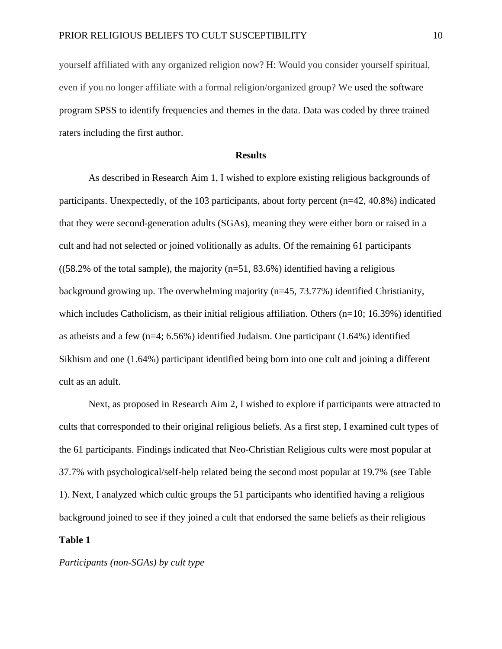yourself affiliated with any organized religion now? H: Would you consider yourself spiritual, even if you no longer affiliate with a formal religion/organized group? We used the software program SPSS to identify frequencies and themes in the data. Data was coded by three trained raters including the first author.

# **Results**

As described in Research Aim 1, I wished to explore existing religious backgrounds of participants. Unexpectedly, of the 103 participants, about forty percent (n=42, 40.8%) indicated that they were second-generation adults (SGAs), meaning they were either born or raised in a cult and had not selected or joined volitionally as adults. Of the remaining 61 participants  $((58.2\% \text{ of the total sample})$ , the majority  $(n=51, 83.6\%)$  identified having a religious background growing up. The overwhelming majority (n=45, 73.77%) identified Christianity, which includes Catholicism, as their initial religious affiliation. Others  $(n=10; 16.39%)$  identified as atheists and a few (n=4; 6.56%) identified Judaism. One participant (1.64%) identified Sikhism and one (1.64%) participant identified being born into one cult and joining a different cult as an adult.

Next, as proposed in Research Aim 2, I wished to explore if participants were attracted to cults that corresponded to their original religious beliefs. As a first step, I examined cult types of the 61 participants. Findings indicated that Neo-Christian Religious cults were most popular at 37.7% with psychological/self-help related being the second most popular at 19.7% (see Table 1). Next, I analyzed which cultic groups the 51 participants who identified having a religious background joined to see if they joined a cult that endorsed the same beliefs as their religious **Table 1**

*Participants (non-SGAs) by cult type*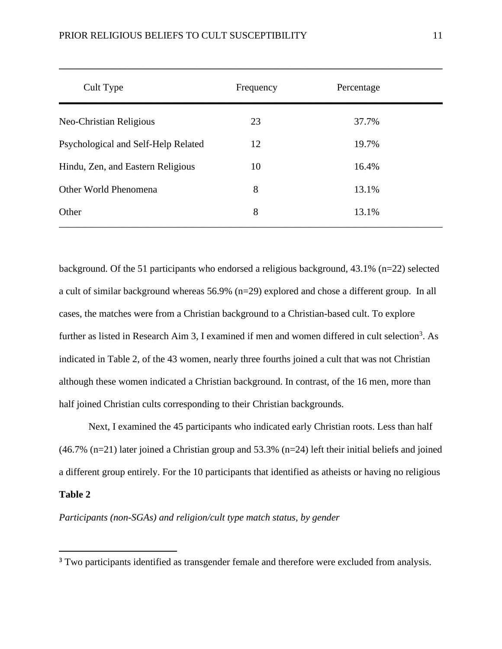| Cult Type                           | Frequency | Percentage |  |
|-------------------------------------|-----------|------------|--|
| Neo-Christian Religious             | 23        | 37.7%      |  |
| Psychological and Self-Help Related | 12        | 19.7%      |  |
| Hindu, Zen, and Eastern Religious   | 10        | 16.4%      |  |
| Other World Phenomena               | 8         | 13.1%      |  |
| Other                               | 8         | 13.1%      |  |

**\_\_\_\_\_\_\_\_\_\_\_\_\_\_\_\_\_\_\_\_\_\_\_\_\_\_\_\_\_\_\_\_\_\_\_\_\_\_\_\_\_\_\_\_\_\_\_\_\_\_\_\_\_\_\_\_\_\_\_\_\_\_\_\_\_\_\_\_\_\_\_\_\_\_\_\_\_\_**

background. Of the 51 participants who endorsed a religious background, 43.1% (n=22) selected a cult of similar background whereas 56.9% (n=29) explored and chose a different group. In all cases, the matches were from a Christian background to a Christian-based cult. To explore further as listed in Research Aim 3, I examined if men and women differed in cult selection<sup>3</sup>. As indicated in Table 2, of the 43 women, nearly three fourths joined a cult that was not Christian although these women indicated a Christian background. In contrast, of the 16 men, more than half joined Christian cults corresponding to their Christian backgrounds.

Next, I examined the 45 participants who indicated early Christian roots. Less than half (46.7% (n=21) later joined a Christian group and 53.3% (n=24) left their initial beliefs and joined a different group entirely. For the 10 participants that identified as atheists or having no religious **Table 2**

# *Participants (non-SGAs) and religion/cult type match status, by gender*

<sup>&</sup>lt;sup>3</sup> Two participants identified as transgender female and therefore were excluded from analysis.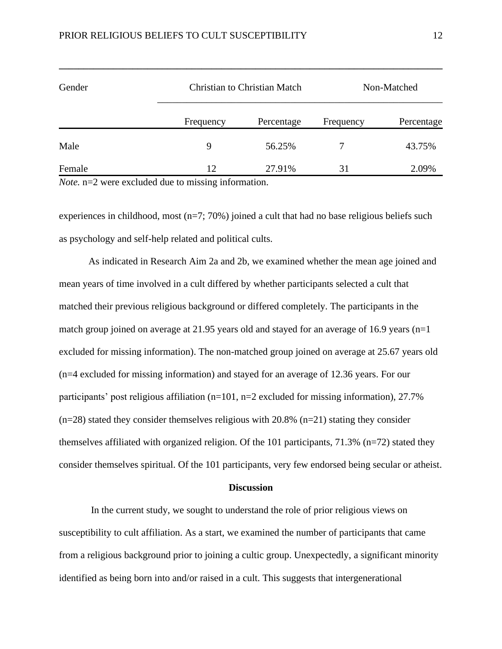| Gender |           | <b>Christian to Christian Match</b> |           | Non-Matched |  |
|--------|-----------|-------------------------------------|-----------|-------------|--|
|        | Frequency | Percentage                          | Frequency | Percentage  |  |
| Male   | 9         | 56.25%                              |           | 43.75%      |  |
| Female | 12        | 27.91%                              | 31        | 2.09%       |  |

**\_\_\_\_\_\_\_\_\_\_\_\_\_\_\_\_\_\_\_\_\_\_\_\_\_\_\_\_\_\_\_\_\_\_\_\_\_\_\_\_\_\_\_\_\_\_\_\_\_\_\_\_\_\_\_\_\_\_\_\_\_\_\_\_\_\_\_\_\_\_\_\_\_\_\_\_\_\_**

*Note.* n=2 were excluded due to missing information.

experiences in childhood, most (n=7; 70%) joined a cult that had no base religious beliefs such as psychology and self-help related and political cults.

As indicated in Research Aim 2a and 2b, we examined whether the mean age joined and mean years of time involved in a cult differed by whether participants selected a cult that matched their previous religious background or differed completely. The participants in the match group joined on average at 21.95 years old and stayed for an average of 16.9 years (n=1) excluded for missing information). The non-matched group joined on average at 25.67 years old (n=4 excluded for missing information) and stayed for an average of 12.36 years. For our participants' post religious affiliation (n=101, n=2 excluded for missing information), 27.7%  $(n=28)$  stated they consider themselves religious with 20.8%  $(n=21)$  stating they consider themselves affiliated with organized religion. Of the 101 participants, 71.3% (n=72) stated they consider themselves spiritual. Of the 101 participants, very few endorsed being secular or atheist.

#### **Discussion**

In the current study, we sought to understand the role of prior religious views on susceptibility to cult affiliation. As a start, we examined the number of participants that came from a religious background prior to joining a cultic group. Unexpectedly, a significant minority identified as being born into and/or raised in a cult. This suggests that intergenerational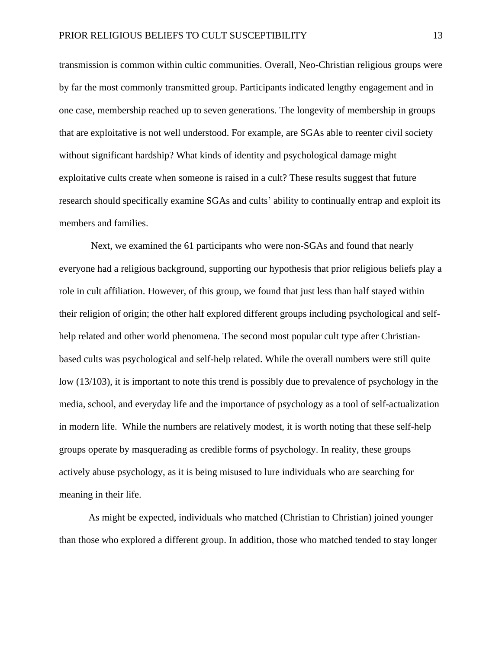transmission is common within cultic communities. Overall, Neo-Christian religious groups were by far the most commonly transmitted group. Participants indicated lengthy engagement and in one case, membership reached up to seven generations. The longevity of membership in groups that are exploitative is not well understood. For example, are SGAs able to reenter civil society without significant hardship? What kinds of identity and psychological damage might exploitative cults create when someone is raised in a cult? These results suggest that future research should specifically examine SGAs and cults' ability to continually entrap and exploit its members and families.

Next, we examined the 61 participants who were non-SGAs and found that nearly everyone had a religious background, supporting our hypothesis that prior religious beliefs play a role in cult affiliation. However, of this group, we found that just less than half stayed within their religion of origin; the other half explored different groups including psychological and selfhelp related and other world phenomena. The second most popular cult type after Christianbased cults was psychological and self-help related. While the overall numbers were still quite low (13/103), it is important to note this trend is possibly due to prevalence of psychology in the media, school, and everyday life and the importance of psychology as a tool of self-actualization in modern life. While the numbers are relatively modest, it is worth noting that these self-help groups operate by masquerading as credible forms of psychology. In reality, these groups actively abuse psychology, as it is being misused to lure individuals who are searching for meaning in their life.

As might be expected, individuals who matched (Christian to Christian) joined younger than those who explored a different group. In addition, those who matched tended to stay longer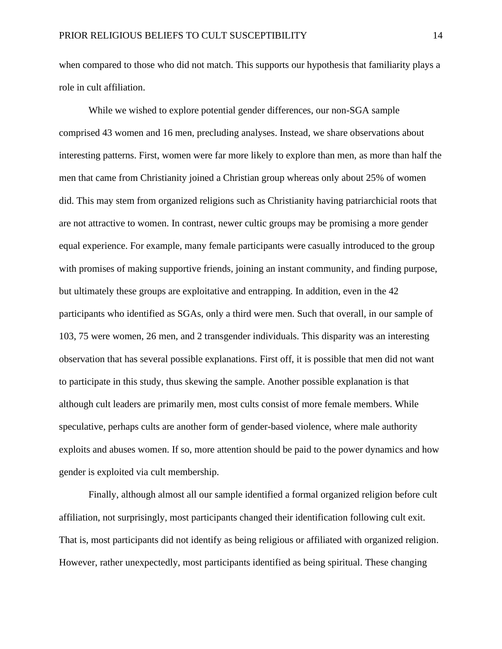when compared to those who did not match. This supports our hypothesis that familiarity plays a role in cult affiliation.

While we wished to explore potential gender differences, our non-SGA sample comprised 43 women and 16 men, precluding analyses. Instead, we share observations about interesting patterns. First, women were far more likely to explore than men, as more than half the men that came from Christianity joined a Christian group whereas only about 25% of women did. This may stem from organized religions such as Christianity having patriarchicial roots that are not attractive to women. In contrast, newer cultic groups may be promising a more gender equal experience. For example, many female participants were casually introduced to the group with promises of making supportive friends, joining an instant community, and finding purpose, but ultimately these groups are exploitative and entrapping. In addition, even in the 42 participants who identified as SGAs, only a third were men. Such that overall, in our sample of 103, 75 were women, 26 men, and 2 transgender individuals. This disparity was an interesting observation that has several possible explanations. First off, it is possible that men did not want to participate in this study, thus skewing the sample. Another possible explanation is that although cult leaders are primarily men, most cults consist of more female members. While speculative, perhaps cults are another form of gender-based violence, where male authority exploits and abuses women. If so, more attention should be paid to the power dynamics and how gender is exploited via cult membership.

Finally, although almost all our sample identified a formal organized religion before cult affiliation, not surprisingly, most participants changed their identification following cult exit. That is, most participants did not identify as being religious or affiliated with organized religion. However, rather unexpectedly, most participants identified as being spiritual. These changing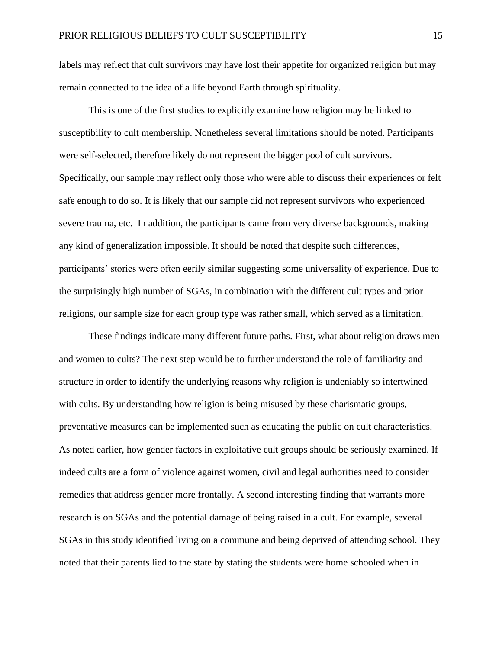labels may reflect that cult survivors may have lost their appetite for organized religion but may remain connected to the idea of a life beyond Earth through spirituality.

This is one of the first studies to explicitly examine how religion may be linked to susceptibility to cult membership. Nonetheless several limitations should be noted. Participants were self-selected, therefore likely do not represent the bigger pool of cult survivors. Specifically, our sample may reflect only those who were able to discuss their experiences or felt safe enough to do so. It is likely that our sample did not represent survivors who experienced severe trauma, etc. In addition, the participants came from very diverse backgrounds, making any kind of generalization impossible. It should be noted that despite such differences, participants' stories were often eerily similar suggesting some universality of experience. Due to the surprisingly high number of SGAs, in combination with the different cult types and prior religions, our sample size for each group type was rather small, which served as a limitation.

These findings indicate many different future paths. First, what about religion draws men and women to cults? The next step would be to further understand the role of familiarity and structure in order to identify the underlying reasons why religion is undeniably so intertwined with cults. By understanding how religion is being misused by these charismatic groups, preventative measures can be implemented such as educating the public on cult characteristics. As noted earlier, how gender factors in exploitative cult groups should be seriously examined. If indeed cults are a form of violence against women, civil and legal authorities need to consider remedies that address gender more frontally. A second interesting finding that warrants more research is on SGAs and the potential damage of being raised in a cult. For example, several SGAs in this study identified living on a commune and being deprived of attending school. They noted that their parents lied to the state by stating the students were home schooled when in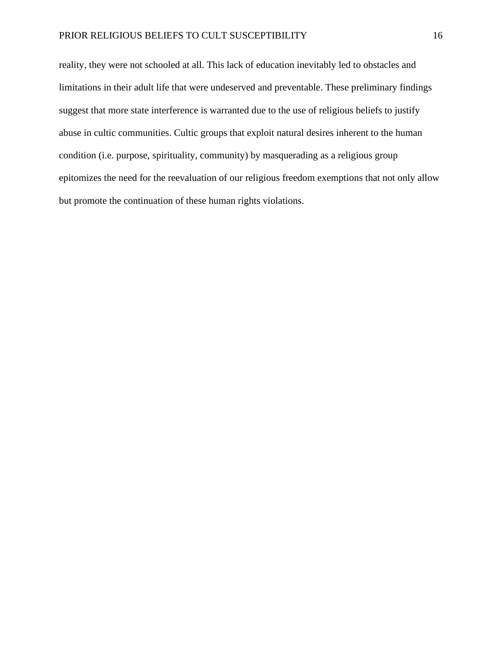reality, they were not schooled at all. This lack of education inevitably led to obstacles and limitations in their adult life that were undeserved and preventable. These preliminary findings suggest that more state interference is warranted due to the use of religious beliefs to justify abuse in cultic communities. Cultic groups that exploit natural desires inherent to the human condition (i.e. purpose, spirituality, community) by masquerading as a religious group epitomizes the need for the reevaluation of our religious freedom exemptions that not only allow but promote the continuation of these human rights violations.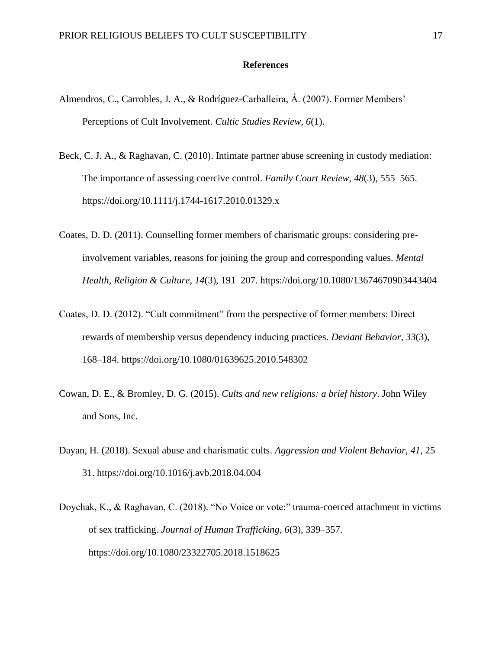# **References**

- Almendros, C., Carrobles, J. A., & Rodríguez-Carballeira, Á. (2007). Former Members' Perceptions of Cult Involvement. *Cultic Studies Review*, *6*(1).
- Beck, C. J. A., & Raghavan, C. (2010). Intimate partner abuse screening in custody mediation: The importance of assessing coercive control. *Family Court Review*, *48*(3), 555–565. https://doi.org/10.1111/j.1744-1617.2010.01329.x
- Coates, D. D. (2011). Counselling former members of charismatic groups: considering preinvolvement variables, reasons for joining the group and corresponding values. *Mental Health, Religion & Culture*, *14*(3), 191–207. https://doi.org/10.1080/13674670903443404
- Coates, D. D. (2012). "Cult commitment" from the perspective of former members: Direct rewards of membership versus dependency inducing practices. *Deviant Behavior*, *33*(3), 168–184. https://doi.org/10.1080/01639625.2010.548302
- Cowan, D. E., & Bromley, D. G. (2015). *Cults and new religions: a brief history*. John Wiley and Sons, Inc.
- Dayan, H. (2018). Sexual abuse and charismatic cults. *Aggression and Violent Behavior*, *41*, 25– 31. https://doi.org/10.1016/j.avb.2018.04.004
- Doychak, K., & Raghavan, C. (2018). "No Voice or vote:" trauma-coerced attachment in victims of sex trafficking. *Journal of Human Trafficking*, *6*(3), 339–357. https://doi.org/10.1080/23322705.2018.1518625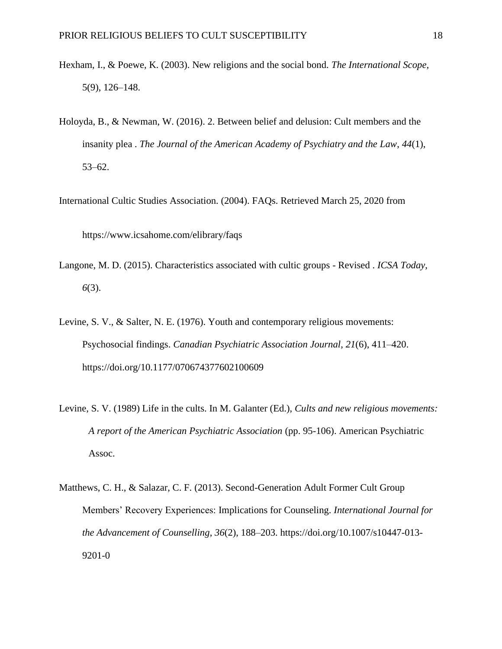- Hexham, I., & Poewe, K. (2003). New religions and the social bond. *The International Scope,* 5(9), 126–148.
- Holoyda, B., & Newman, W. (2016). 2. Between belief and delusion: Cult members and the insanity plea . *The Journal of the American Academy of Psychiatry and the Law*, *44*(1), 53–62.

International Cultic Studies Association. (2004). FAQs. Retrieved March 25, 2020 from

https://www.icsahome.com/elibrary/faqs

- Langone, M. D. (2015). Characteristics associated with cultic groups Revised . *ICSA Today*, *6*(3).
- Levine, S. V., & Salter, N. E. (1976). Youth and contemporary religious movements: Psychosocial findings. *Canadian Psychiatric Association Journal*, *21*(6), 411–420. https://doi.org/10.1177/070674377602100609
- Levine, S. V. (1989) Life in the cults. In M. Galanter (Ed.), *Cults and new religious movements: A report of the American Psychiatric Association* (pp. 95-106). American Psychiatric Assoc.
- Matthews, C. H., & Salazar, C. F. (2013). Second-Generation Adult Former Cult Group Members' Recovery Experiences: Implications for Counseling. *International Journal for the Advancement of Counselling*, *36*(2), 188–203. https://doi.org/10.1007/s10447-013- 9201-0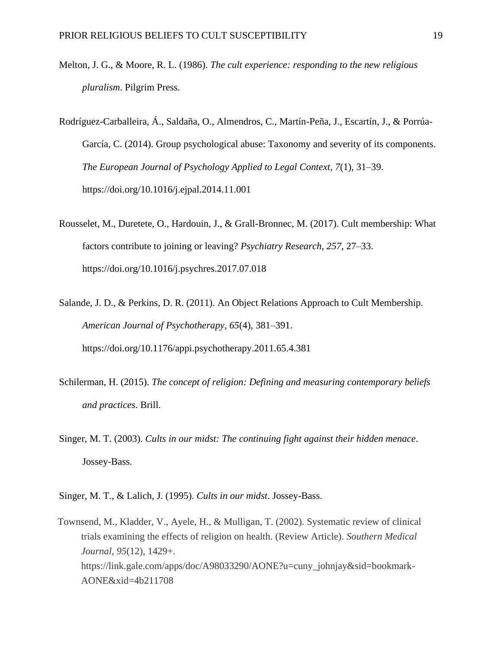- Melton, J. G., & Moore, R. L. (1986). *The cult experience: responding to the new religious pluralism*. Pilgrim Press.
- Rodríguez-Carballeira, Á., Saldaña, O., Almendros, C., Martín-Peña, J., Escartín, J., & Porrúa-García, C. (2014). Group psychological abuse: Taxonomy and severity of its components. *The European Journal of Psychology Applied to Legal Context*, *7*(1), 31–39. https://doi.org/10.1016/j.ejpal.2014.11.001
- Rousselet, M., Duretete, O., Hardouin, J., & Grall-Bronnec, M. (2017). Cult membership: What factors contribute to joining or leaving? *Psychiatry Research*, *257*, 27–33. https://doi.org/10.1016/j.psychres.2017.07.018
- Salande, J. D., & Perkins, D. R. (2011). An Object Relations Approach to Cult Membership. *American Journal of Psychotherapy*, *65*(4), 381–391. https://doi.org/10.1176/appi.psychotherapy.2011.65.4.381
- Schilerman, H. (2015). *The concept of religion: Defining and measuring contemporary beliefs and practices*. Brill.
- Singer, M. T. (2003). *Cults in our midst: The continuing fight against their hidden menace*. Jossey-Bass.
- Singer, M. T., & Lalich, J. (1995). *Cults in our midst*. Jossey-Bass.
- Townsend, M., Kladder, V., Ayele, H., & Mulligan, T. (2002). Systematic review of clinical trials examining the effects of religion on health. (Review Article). *Southern Medical Journal*, *95*(12), 1429+. https://link.gale.com/apps/doc/A98033290/AONE?u=cuny\_johnjay&sid=bookmark-AONE&xid=4b211708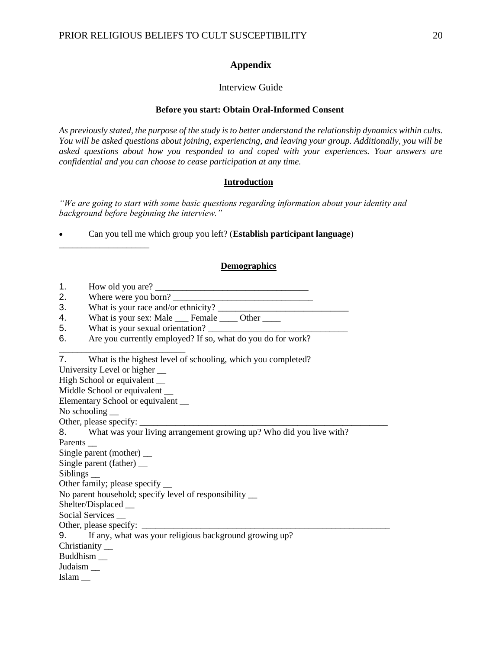# **Appendix**

# Interview Guide

# **Before you start: Obtain Oral-Informed Consent**

*As previously stated, the purpose of the study is to better understand the relationship dynamics within cults. You will be asked questions about joining, experiencing, and leaving your group. Additionally, you will be asked questions about how you responded to and coped with your experiences. Your answers are confidential and you can choose to cease participation at any time.*

# **Introduction**

*"We are going to start with some basic questions regarding information about your identity and background before beginning the interview."*

• Can you tell me which group you left? (**Establish participant language**)

# **Demographics**

| И | How old you are? |
|---|------------------|
|   |                  |

\_\_\_\_\_\_\_\_\_\_\_\_\_\_\_\_\_\_\_\_

2. Where were you born? \_\_\_\_\_\_\_\_\_\_\_\_\_\_\_\_\_\_\_\_\_\_\_\_\_\_\_\_\_\_\_

3. What is your race and/or ethnicity?  $\overline{\phantom{a}}$ 

4. What is your sex: Male <u>Female 10</u> Other

5. What is your sexual orientation?

6. Are you currently employed? If so, what do you do for work?

7. What is the highest level of schooling, which you completed?

University Level or higher \_\_

High School or equivalent \_\_

Middle School or equivalent \_\_

Elementary School or equivalent \_\_

\_\_\_\_\_\_\_\_\_\_\_\_\_\_\_\_\_\_\_\_\_\_\_\_\_\_\_\_

No schooling

Other, please specify:

8. What was your living arrangement growing up? Who did you live with?

Parents \_

Single parent (mother) \_\_

Single parent (father) \_\_

Sibling<sub>s</sub>

Other family; please specify \_\_

No parent household; specify level of responsibility \_\_

Shelter/Displaced \_\_

Social Services \_\_

Other, please specify:

9. If any, what was your religious background growing up?

Christianity \_\_

Buddhism \_\_

Judaism \_\_

Islam \_\_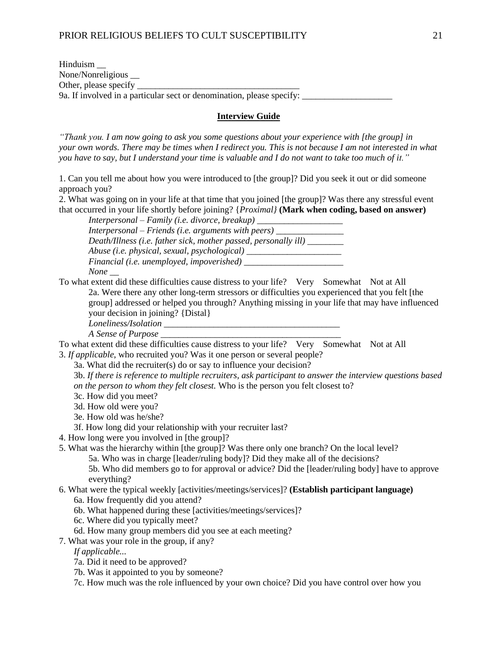| Hinduism                                                              |  |
|-----------------------------------------------------------------------|--|
| None/Nonreligious __                                                  |  |
| Other, please specify                                                 |  |
| 9a. If involved in a particular sect or denomination, please specify: |  |
|                                                                       |  |

# **Interview Guide**

*"Thank you. I am now going to ask you some questions about your experience with [the group] in your own words. There may be times when I redirect you. This is not because I am not interested in what you have to say, but I understand your time is valuable and I do not want to take too much of it."*

1. Can you tell me about how you were introduced to [the group]? Did you seek it out or did someone approach you?

2. What was going on in your life at that time that you joined [the group]? Was there any stressful event that occurred in your life shortly before joining? {*Proximal}* **(Mark when coding, based on answer)**

*Interpersonal – Family (i.e. divorce, breakup) \_\_\_\_\_\_\_\_\_\_\_\_\_\_\_\_\_\_\_ Interpersonal – Friends (i.e. arguments with peers) \_\_\_\_\_\_\_\_\_\_\_\_\_\_\_ Death/Illness (i.e. father sick, mother passed, personally ill) \_\_\_\_\_\_\_\_ Abuse (i.e. physical, sexual, psychological) \_\_\_\_\_\_\_\_\_\_\_\_\_\_\_\_\_\_\_\_\_ Financial (i.e. unemployed, impoverished) None \_\_*

To what extent did these difficulties cause distress to your life? Very Somewhat Not at All 2a. Were there any other long-term stressors or difficulties you experienced that you felt [the group] addressed or helped you through? Anything missing in your life that may have influenced your decision in joining? {Distal}

*Loneliness/Isolation \_\_\_\_\_\_\_\_\_\_\_\_\_\_\_\_\_\_\_\_\_\_\_\_\_\_\_\_\_\_\_\_\_\_\_\_\_\_\_*

*A Sense of Purpose \_\_\_\_\_\_\_\_\_\_\_\_\_\_\_\_\_\_\_\_\_\_\_\_\_\_\_\_\_\_\_\_\_\_\_\_\_\_\_\_*

To what extent did these difficulties cause distress to your life? Very Somewhat Not at All 3. *If applicable*, who recruited you? Was it one person or several people?

3a. What did the recruiter(s) do or say to influence your decision?

3b. *If there is reference to multiple recruiters, ask participant to answer the interview questions based on the person to whom they felt closest.* Who is the person you felt closest to?

- 3c. How did you meet?
- 3d. How old were you?

3e. How old was he/she?

- 3f. How long did your relationship with your recruiter last?
- 4. How long were you involved in [the group]?
- 5. What was the hierarchy within [the group]? Was there only one branch? On the local level? 5a. Who was in charge [leader/ruling body]? Did they make all of the decisions?

5b. Who did members go to for approval or advice? Did the [leader/ruling body] have to approve

- everything?
- 6. What were the typical weekly [activities/meetings/services]? **(Establish participant language)**
	- 6a. How frequently did you attend?
	- 6b. What happened during these [activities/meetings/services]?
	- 6c. Where did you typically meet?
	- 6d. How many group members did you see at each meeting?
- 7. What was your role in the group, if any?

*If applicable...*

7a. Did it need to be approved?

7b. Was it appointed to you by someone?

7c. How much was the role influenced by your own choice? Did you have control over how you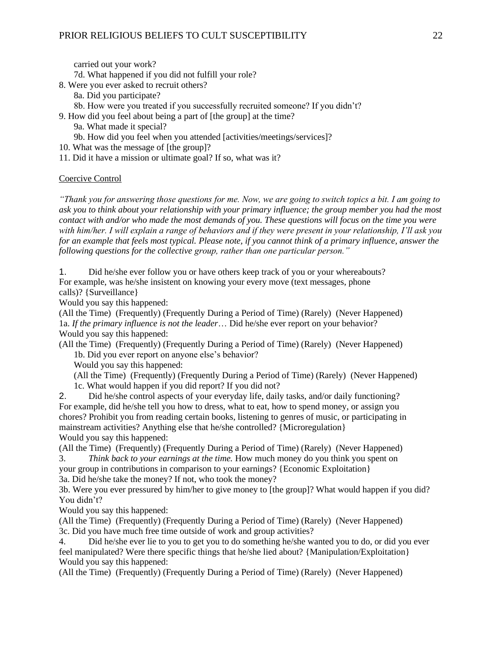carried out your work?

7d. What happened if you did not fulfill your role?

- 8. Were you ever asked to recruit others?
	- 8a. Did you participate?
	- 8b. How were you treated if you successfully recruited someone? If you didn't?
- 9. How did you feel about being a part of [the group] at the time?
	- 9a. What made it special?
	- 9b. How did you feel when you attended [activities/meetings/services]?
- 10. What was the message of [the group]?
- 11. Did it have a mission or ultimate goal? If so, what was it?

# Coercive Control

*"Thank you for answering those questions for me. Now, we are going to switch topics a bit. I am going to ask you to think about your relationship with your primary influence; the group member you had the most contact with and/or who made the most demands of you. These questions will focus on the time you were with him/her. I will explain a range of behaviors and if they were present in your relationship, I'll ask you for an example that feels most typical. Please note, if you cannot think of a primary influence, answer the following questions for the collective group, rather than one particular person."*

1. Did he/she ever follow you or have others keep track of you or your whereabouts? For example, was he/she insistent on knowing your every move (text messages, phone calls)? {Surveillance}

Would you say this happened:

(All the Time) (Frequently) (Frequently During a Period of Time) (Rarely) (Never Happened) 1a. *If the primary influence is not the leader*… Did he/she ever report on your behavior? Would you say this happened:

(All the Time) (Frequently) (Frequently During a Period of Time) (Rarely) (Never Happened) 1b. Did you ever report on anyone else's behavior?

Would you say this happened:

(All the Time) (Frequently) (Frequently During a Period of Time) (Rarely) (Never Happened) 1c. What would happen if you did report? If you did not?

2. Did he/she control aspects of your everyday life, daily tasks, and/or daily functioning? For example, did he/she tell you how to dress, what to eat, how to spend money, or assign you chores? Prohibit you from reading certain books, listening to genres of music, or participating in mainstream activities? Anything else that he/she controlled? {Microregulation} Would you say this happened:

(All the Time) (Frequently) (Frequently During a Period of Time) (Rarely) (Never Happened) 3. *Think back to your earnings at the time.* How much money do you think you spent on your group in contributions in comparison to your earnings? {Economic Exploitation}

3a. Did he/she take the money? If not, who took the money?

3b. Were you ever pressured by him/her to give money to [the group]? What would happen if you did? You didn't?

Would you say this happened:

(All the Time) (Frequently) (Frequently During a Period of Time) (Rarely) (Never Happened) 3c. Did you have much free time outside of work and group activities?

4. Did he/she ever lie to you to get you to do something he/she wanted you to do, or did you ever feel manipulated? Were there specific things that he/she lied about? {Manipulation/Exploitation} Would you say this happened:

(All the Time) (Frequently) (Frequently During a Period of Time) (Rarely) (Never Happened)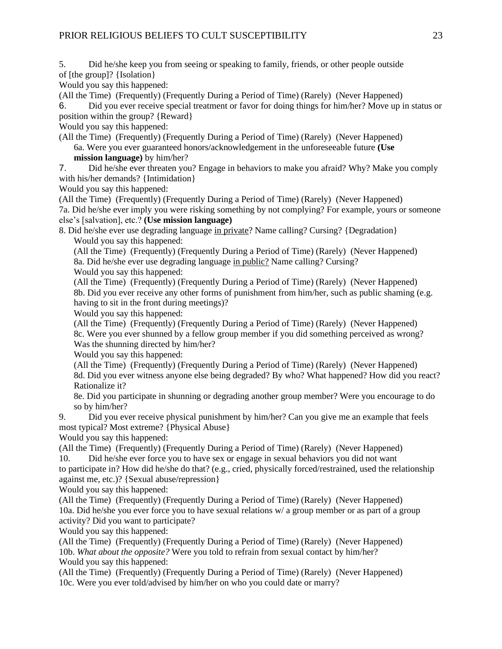5. Did he/she keep you from seeing or speaking to family, friends, or other people outside of [the group]? {Isolation}

Would you say this happened:

(All the Time) (Frequently) (Frequently During a Period of Time) (Rarely) (Never Happened)

6. Did you ever receive special treatment or favor for doing things for him/her? Move up in status or position within the group? {Reward}

Would you say this happened:

(All the Time) (Frequently) (Frequently During a Period of Time) (Rarely) (Never Happened) 6a. Were you ever guaranteed honors/acknowledgement in the unforeseeable future **(Use mission language)** by him/her?

7. Did he/she ever threaten you? Engage in behaviors to make you afraid? Why? Make you comply with his/her demands? {Intimidation}

Would you say this happened:

(All the Time) (Frequently) (Frequently During a Period of Time) (Rarely) (Never Happened) 7a. Did he/she ever imply you were risking something by not complying? For example, yours or someone else's [salvation], etc.? **(Use mission language)**

8. Did he/she ever use degrading language in private? Name calling? Cursing? {Degradation} Would you say this happened:

(All the Time) (Frequently) (Frequently During a Period of Time) (Rarely) (Never Happened) 8a. Did he/she ever use degrading language in public? Name calling? Cursing? Would you say this happened:

(All the Time) (Frequently) (Frequently During a Period of Time) (Rarely) (Never Happened) 8b. Did you ever receive any other forms of punishment from him/her, such as public shaming (e.g. having to sit in the front during meetings)?

Would you say this happened:

(All the Time) (Frequently) (Frequently During a Period of Time) (Rarely) (Never Happened) 8c. Were you ever shunned by a fellow group member if you did something perceived as wrong? Was the shunning directed by him/her?

Would you say this happened:

(All the Time) (Frequently) (Frequently During a Period of Time) (Rarely) (Never Happened) 8d. Did you ever witness anyone else being degraded? By who? What happened? How did you react? Rationalize it?

8e. Did you participate in shunning or degrading another group member? Were you encourage to do so by him/her?

9. Did you ever receive physical punishment by him/her? Can you give me an example that feels most typical? Most extreme? {Physical Abuse}

Would you say this happened:

(All the Time) (Frequently) (Frequently During a Period of Time) (Rarely) (Never Happened) 10. Did he/she ever force you to have sex or engage in sexual behaviors you did not want

to participate in? How did he/she do that? (e.g., cried, physically forced/restrained, used the relationship against me, etc.)? {Sexual abuse/repression}

Would you say this happened:

(All the Time) (Frequently) (Frequently During a Period of Time) (Rarely) (Never Happened) 10a. Did he/she you ever force you to have sexual relations w/ a group member or as part of a group activity? Did you want to participate?

Would you say this happened:

(All the Time) (Frequently) (Frequently During a Period of Time) (Rarely) (Never Happened) 10b. *What about the opposite?* Were you told to refrain from sexual contact by him/her? Would you say this happened:

(All the Time) (Frequently) (Frequently During a Period of Time) (Rarely) (Never Happened) 10c. Were you ever told/advised by him/her on who you could date or marry?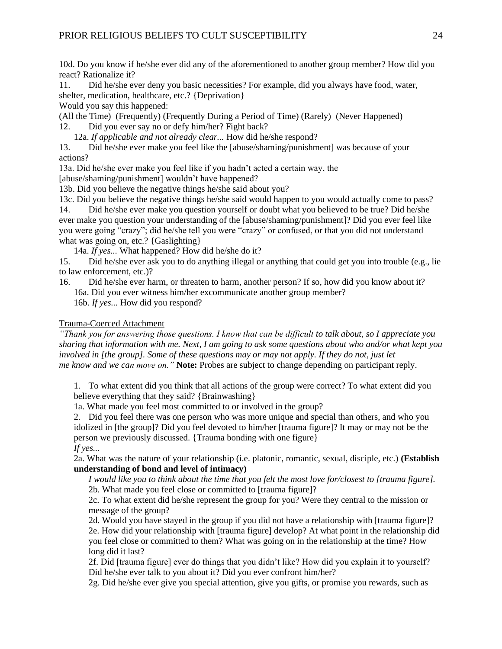10d. Do you know if he/she ever did any of the aforementioned to another group member? How did you react? Rationalize it?

11. Did he/she ever deny you basic necessities? For example, did you always have food, water, shelter, medication, healthcare, etc.? {Deprivation}

Would you say this happened:

(All the Time) (Frequently) (Frequently During a Period of Time) (Rarely) (Never Happened)

12. Did you ever say no or defy him/her? Fight back?

12a. *If applicable and not already clear...* How did he/she respond?

13. Did he/she ever make you feel like the [abuse/shaming/punishment] was because of your actions?

13a. Did he/she ever make you feel like if you hadn't acted a certain way, the

[abuse/shaming/punishment] wouldn't have happened?

13b. Did you believe the negative things he/she said about you?

13c. Did you believe the negative things he/she said would happen to you would actually come to pass?

14. Did he/she ever make you question yourself or doubt what you believed to be true? Did he/she ever make you question your understanding of the [abuse/shaming/punishment]? Did you ever feel like you were going "crazy"; did he/she tell you were "crazy" or confused, or that you did not understand what was going on, etc.? {Gaslighting}

14a. *If yes...* What happened? How did he/she do it?

15. Did he/she ever ask you to do anything illegal or anything that could get you into trouble (e.g., lie to law enforcement, etc.)?

16. Did he/she ever harm, or threaten to harm, another person? If so, how did you know about it? 16a. Did you ever witness him/her excommunicate another group member?

16b. *If yes...* How did you respond?

#### Trauma-Coerced Attachment

*"Thank you for answering those questions. I know that can be difficult to talk about, so I appreciate you sharing that information with me. Next, I am going to ask some questions about who and/or what kept you involved in [the group]. Some of these questions may or may not apply. If they do not, just let me know and we can move on."* **Note:** Probes are subject to change depending on participant reply.

1. To what extent did you think that all actions of the group were correct? To what extent did you believe everything that they said? {Brainwashing}

1a. What made you feel most committed to or involved in the group?

2. Did you feel there was one person who was more unique and special than others, and who you idolized in [the group]? Did you feel devoted to him/her [trauma figure]? It may or may not be the person we previously discussed. {Trauma bonding with one figure} *If yes...*

2a. What was the nature of your relationship (i.e. platonic, romantic, sexual, disciple, etc.) **(Establish understanding of bond and level of intimacy)**

*I would like you to think about the time that you felt the most love for/closest to [trauma figure].* 2b. What made you feel close or committed to [trauma figure]?

2c. To what extent did he/she represent the group for you? Were they central to the mission or message of the group?

2d. Would you have stayed in the group if you did not have a relationship with [trauma figure]? 2e. How did your relationship with [trauma figure] develop? At what point in the relationship did you feel close or committed to them? What was going on in the relationship at the time? How long did it last?

2f. Did [trauma figure] ever do things that you didn't like? How did you explain it to yourself? Did he/she ever talk to you about it? Did you ever confront him/her?

2g. Did he/she ever give you special attention, give you gifts, or promise you rewards, such as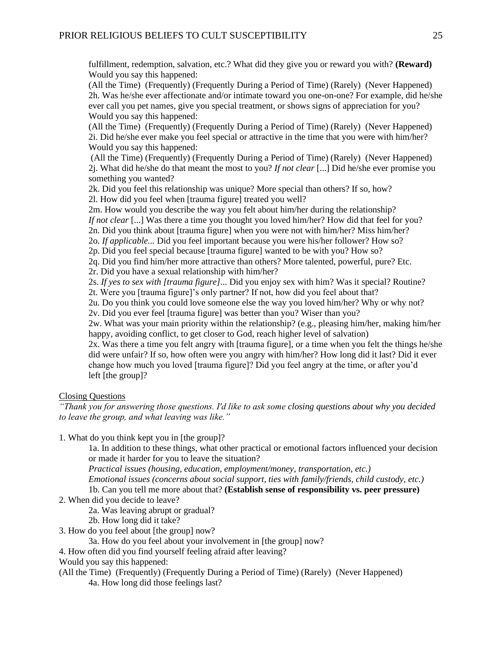fulfillment, redemption, salvation, etc.? What did they give you or reward you with? **(Reward)** Would you say this happened:

(All the Time) (Frequently) (Frequently During a Period of Time) (Rarely) (Never Happened) 2h. Was he/she ever affectionate and/or intimate toward you one-on-one? For example, did he/she ever call you pet names, give you special treatment, or shows signs of appreciation for you? Would you say this happened:

(All the Time) (Frequently) (Frequently During a Period of Time) (Rarely) (Never Happened) 2i. Did he/she ever make you feel special or attractive in the time that you were with him/her? Would you say this happened:

(All the Time) (Frequently) (Frequently During a Period of Time) (Rarely) (Never Happened) 2j. What did he/she do that meant the most to you? *If not clear* [...] Did he/she ever promise you something you wanted?

2k. Did you feel this relationship was unique? More special than others? If so, how? 2l. How did you feel when [trauma figure] treated you well?

2m. How would you describe the way you felt about him/her during the relationship? *If not clear* [...] Was there a time you thought you loved him/her? How did that feel for you? 2n. Did you think about [trauma figure] when you were not with him/her? Miss him/her?

2o. *If applicable...* Did you feel important because you were his/her follower? How so?

2p. Did you feel special because [trauma figure] wanted to be with you? How so?

2q. Did you find him/her more attractive than others? More talented, powerful, pure? Etc.

2r. Did you have a sexual relationship with him/her?

2s. *If yes to sex with [trauma figure]*... Did you enjoy sex with him? Was it special? Routine?

2t. Were you [trauma figure]'s only partner? If not, how did you feel about that?

2u. Do you think you could love someone else the way you loved him/her? Why or why not? 2v. Did you ever feel [trauma figure] was better than you? Wiser than you?

2w. What was your main priority within the relationship? (e.g., pleasing him/her, making him/her happy, avoiding conflict, to get closer to God, reach higher level of salvation)

2x. Was there a time you felt angry with [trauma figure], or a time when you felt the things he/she did were unfair? If so, how often were you angry with him/her? How long did it last? Did it ever change how much you loved [trauma figure]? Did you feel angry at the time, or after you'd left [the group]?

# Closing Questions

*"Thank you for answering those questions. I'd like to ask some closing questions about why you decided to leave the group, and what leaving was like."*

1. What do you think kept you in [the group]?

1a. In addition to these things, what other practical or emotional factors influenced your decision or made it harder for you to leave the situation?

*Practical issues (housing, education, employment/money, transportation, etc.)*

*Emotional issues (concerns about social support, ties with family/friends, child custody, etc.)*

1b. Can you tell me more about that? **(Establish sense of responsibility vs. peer pressure)**

2. When did you decide to leave?

2a. Was leaving abrupt or gradual?

- 2b. How long did it take?
- 3. How do you feel about [the group] now?

3a. How do you feel about your involvement in [the group] now?

4. How often did you find yourself feeling afraid after leaving?

Would you say this happened:

(All the Time) (Frequently) (Frequently During a Period of Time) (Rarely) (Never Happened) 4a. How long did those feelings last?